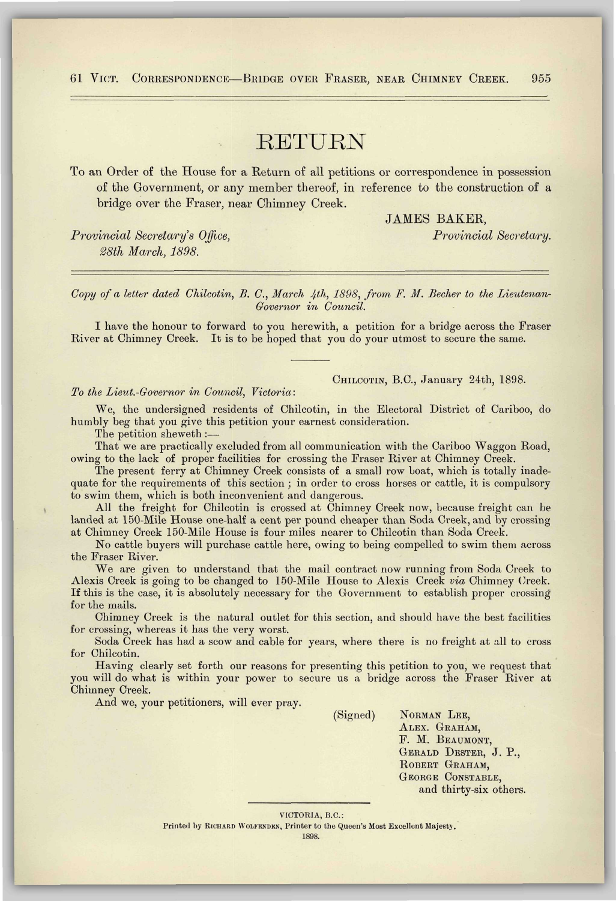## 61 VICT. CORRESPONDENCE—BRIDGE OVER FRASER, NEAR CHIMNEY CREEK. 955

## RETURN

To an Order of the House for a Return of all petitions or correspondence in possession of the Government, or any member thereof, in reference to the construction of a bridge over the Fraser, near Chimney Creek.

*Provincial Secretary's Office, Provincial Secretary. 28th March, 1898.* 

JAMES BAKER,

*Copy of a letter dated Chilcotin, B. C, March 4th, 1898, from F. M. Becher to the Lieutenan-Governor in Council.* 

I have the honour to forward to you herewith, a petition for a bridge across the Fraser River at Chimney Creek. It is to be hoped that you do your utmost to secure the same.

## *To the Lieut.-Covernor in Council, Victoria:*

CHILCOTIN, B.C., January 24th, 1898.

We, the undersigned residents of Chilcotin, in the Electoral District of Cariboo, do humbly beg that you give this petition your earnest consideration.

The petition sheweth :—

That we are practically excluded from all communication with the Cariboo Waggon Road, owing to the lack of proper facilities for crossing the Fraser River at Chimney Creek.

The present ferry at Chimney Creek consists of a small row boat, which is totally inadequate for the requirements of this section ; in order to cross horses or cattle, it is compulsory to swim them, which is both inconvenient and dangerous.

All the freight for Chilcotin is crossed at Chimney Creek now, because freight can be landed at 150-Mile House one-half a cent per pound cheaper than Soda Creek, and by crossing at Chimney Creek 150-Mile House is four miles nearer to Chilcotin than Soda Creek.

No cattle buyers will purchase cattle here, owing to being compelled to swim them across the Fraser River.

We are given to understand that the mail contract now running from Soda Creek to Alexis Creek is going to be changed to 150-Mile House to Alexis Creek *via* Chimney Creek. If this is the case, it is absolutely necessary for the Government to establish proper crossing for the mails.

Chimney Creek is the natural outlet for this section, and should have the best facilities for crossing, whereas it has the very worst.

Soda Creek has had a scow and cable for years, where there is no freight at all to cross for Chilcotin.

Having clearly set forth our reasons for presenting this petition to you, we request that you will do what is within your power to secure us a bridge across the Fraser River at Chimney Creek.

And we, your petitioners, will ever pray.

(Signed) NORMAN LEE, ALEX. GRAHAM, F. M. BEAUMONT, GERALD DESTER, J. P., ROBERT GRAHAM, GEORGE CONSTABLE, and thirty-six others.

VICTORIA, B.C.: Printed by RICHARD WOLFENDEN, Printer to the Queen's Most Excellent Majesty. 1898.